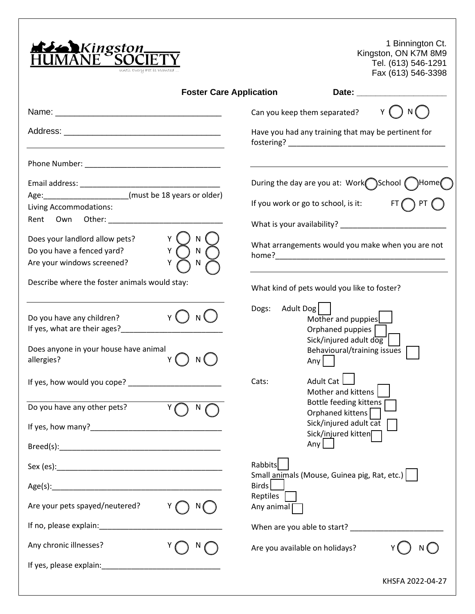| <b>Foster Care Application</b><br>Can you keep them separated?<br>Have you had any training that may be pertinent for<br>During the day are you at: Work $\bigcirc$ School $\bigcirc$ Home<br>Age: _______________________(must be 18 years or older)<br>If you work or go to school, is it: FT<br>Living Accommodations:<br>Rent<br>Does your landlord allow pets?<br>What arrangements would you make when you are not<br>$\mathsf{N}$<br>Do you have a fenced yard?<br>Are your windows screened?<br>Describe where the foster animals would stay:<br>What kind of pets would you like to foster?<br>Adult Dog  <br>Dogs:<br>Do you have any children?<br>N U<br>Sick/injured adult dog<br>Does anyone in your house have animal<br>Behavioural/training issues<br>allergies?<br>NU<br>Any | N (                                    |
|-----------------------------------------------------------------------------------------------------------------------------------------------------------------------------------------------------------------------------------------------------------------------------------------------------------------------------------------------------------------------------------------------------------------------------------------------------------------------------------------------------------------------------------------------------------------------------------------------------------------------------------------------------------------------------------------------------------------------------------------------------------------------------------------------|----------------------------------------|
|                                                                                                                                                                                                                                                                                                                                                                                                                                                                                                                                                                                                                                                                                                                                                                                               |                                        |
|                                                                                                                                                                                                                                                                                                                                                                                                                                                                                                                                                                                                                                                                                                                                                                                               |                                        |
|                                                                                                                                                                                                                                                                                                                                                                                                                                                                                                                                                                                                                                                                                                                                                                                               |                                        |
|                                                                                                                                                                                                                                                                                                                                                                                                                                                                                                                                                                                                                                                                                                                                                                                               |                                        |
|                                                                                                                                                                                                                                                                                                                                                                                                                                                                                                                                                                                                                                                                                                                                                                                               |                                        |
|                                                                                                                                                                                                                                                                                                                                                                                                                                                                                                                                                                                                                                                                                                                                                                                               |                                        |
|                                                                                                                                                                                                                                                                                                                                                                                                                                                                                                                                                                                                                                                                                                                                                                                               |                                        |
|                                                                                                                                                                                                                                                                                                                                                                                                                                                                                                                                                                                                                                                                                                                                                                                               |                                        |
|                                                                                                                                                                                                                                                                                                                                                                                                                                                                                                                                                                                                                                                                                                                                                                                               |                                        |
|                                                                                                                                                                                                                                                                                                                                                                                                                                                                                                                                                                                                                                                                                                                                                                                               | Mother and puppies<br>Orphaned puppies |
|                                                                                                                                                                                                                                                                                                                                                                                                                                                                                                                                                                                                                                                                                                                                                                                               |                                        |
| Adult Cat $\Box$<br>Cats:                                                                                                                                                                                                                                                                                                                                                                                                                                                                                                                                                                                                                                                                                                                                                                     |                                        |
| Mother and kittens<br>Bottle feeding kittens<br>$\overline{Y}$<br>Do you have any other pets?<br>N<br>Orphaned kittens                                                                                                                                                                                                                                                                                                                                                                                                                                                                                                                                                                                                                                                                        |                                        |
| Sick/injured adult cat<br>Sick/injured kitten                                                                                                                                                                                                                                                                                                                                                                                                                                                                                                                                                                                                                                                                                                                                                 |                                        |
| Any $\Box$                                                                                                                                                                                                                                                                                                                                                                                                                                                                                                                                                                                                                                                                                                                                                                                    |                                        |
| Rabbits                                                                                                                                                                                                                                                                                                                                                                                                                                                                                                                                                                                                                                                                                                                                                                                       |                                        |
| Small animals (Mouse, Guinea pig, Rat, etc.)  <br>Birds                                                                                                                                                                                                                                                                                                                                                                                                                                                                                                                                                                                                                                                                                                                                       |                                        |
| Reptiles<br>Are your pets spayed/neutered?<br>N(<br>Any animal                                                                                                                                                                                                                                                                                                                                                                                                                                                                                                                                                                                                                                                                                                                                |                                        |
|                                                                                                                                                                                                                                                                                                                                                                                                                                                                                                                                                                                                                                                                                                                                                                                               |                                        |
| Any chronic illnesses?<br>Y<br>N<br>Are you available on holidays?                                                                                                                                                                                                                                                                                                                                                                                                                                                                                                                                                                                                                                                                                                                            | N (                                    |
| If yes, please explain: If yes, please explain:                                                                                                                                                                                                                                                                                                                                                                                                                                                                                                                                                                                                                                                                                                                                               | KHSFA 2022-04-27                       |